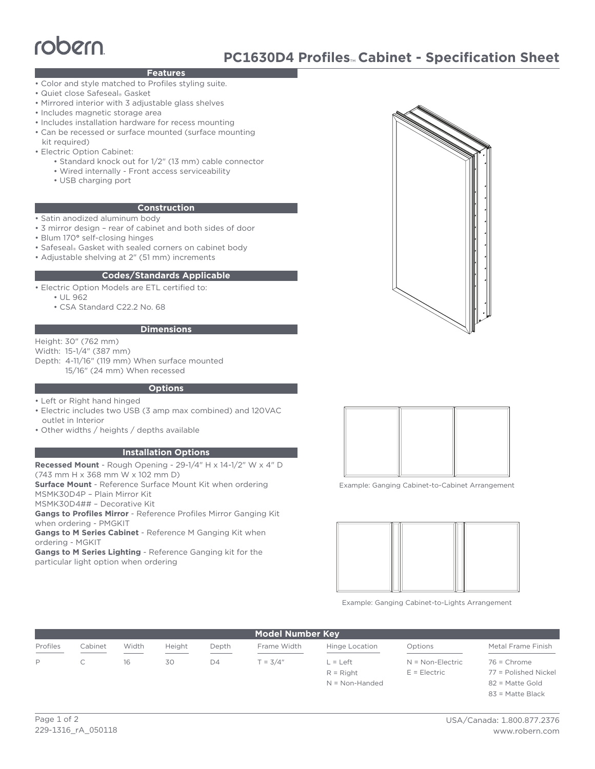# robern

## **Features**

- Color and style matched to Profiles styling suite.
- Quiet close Safeseal® Gasket
- Mirrored interior with 3 adjustable glass shelves
- Includes magnetic storage area
- Includes installation hardware for recess mounting
- Can be recessed or surface mounted (surface mounting kit required)
- Electric Option Cabinet:
	- Standard knock out for 1/2" (13 mm) cable connector
	- Wired internally Front access serviceability
	- USB charging port

#### **Construction**

- Satin anodized aluminum body
- 3 mirror design rear of cabinet and both sides of door
- Blum 170**°** self-closing hinges
- Safeseal® Gasket with sealed corners on cabinet body
- Adjustable shelving at 2" (51 mm) increments

#### **Codes/Standards Applicable**

• Electric Option Models are ETL certified to:

- UL 962
- CSA Standard C22.2 No. 68

#### **Dimensions**

Height: 30" (762 mm)

Width: 15-1/4" (387 mm)

Depth: 4-11/16" (119 mm) When surface mounted 15/16" (24 mm) When recessed

#### **Options**

- Left or Right hand hinged
- Electric includes two USB (3 amp max combined) and 120VAC outlet in Interior
- Other widths / heights / depths available

### **Installation Options**

**Recessed Mount** - Rough Opening - 29-1/4" H x 14-1/2" W x 4" D

(743 mm H x 368 mm W x 102 mm D) **Surface Mount** - Reference Surface Mount Kit when ordering

MSMK30D4P – Plain Mirror Kit

MSMK30D4## – Decorative Kit

**Gangs to Profiles Mirror** - Reference Profiles Mirror Ganging Kit when ordering - PMGKIT

**Gangs to M Series Cabinet** - Reference M Ganging Kit when ordering - MGKIT

**Gangs to M Series Lighting** - Reference Ganging kit for the particular light option when ordering



Example: Ganging Cabinet-to-Cabinet Arrangement



Example: Ganging Cabinet-to-Lights Arrangement

| <b>Model Number Key</b>                         |         |       |        |                |             |                |                    |                        |
|-------------------------------------------------|---------|-------|--------|----------------|-------------|----------------|--------------------|------------------------|
| Profiles<br>and the contract of the contract of | Cabinet | Width | Height | Depth          | Frame Width | Hinge Location | Options            | Metal Frame Finish     |
| D                                               |         | 16    | 30     | D <sub>4</sub> | $T = 3/4"$  | $=$ Left       | $N = Non-Electric$ | $76$ = Chrome          |
|                                                 |         |       |        |                |             | $R =$ Right    | $E = E$ lectric    | $77 =$ Polished Nickel |

N = Non-Handed

77 = Polished Nickel 82 = Matte Gold 83 = Matte Black